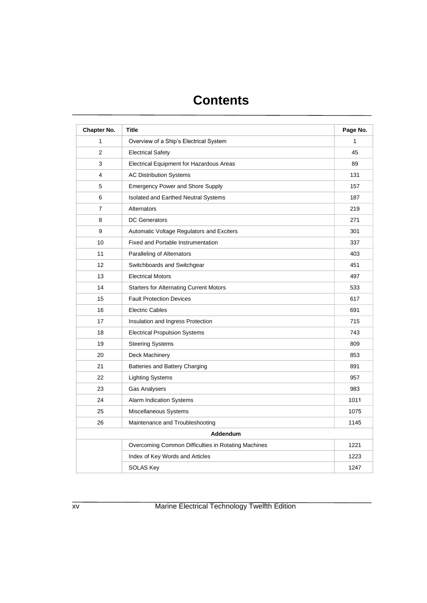| Chapter No.    | <b>Title</b>                                        | Page No. |
|----------------|-----------------------------------------------------|----------|
| 1              | Overview of a Ship's Electrical System              | 1        |
| 2              | <b>Electrical Safety</b>                            | 45       |
| 3              | Electrical Equipment for Hazardous Areas            | 89       |
| 4              | <b>AC Distribution Systems</b>                      | 131      |
| 5              | <b>Emergency Power and Shore Supply</b>             | 157      |
| 6              | Isolated and Earthed Neutral Systems                | 187      |
| $\overline{7}$ | Alternators                                         | 219      |
| 8              | <b>DC Generators</b>                                | 271      |
| 9              | Automatic Voltage Regulators and Exciters           | 301      |
| 10             | <b>Fixed and Portable Instrumentation</b>           | 337      |
| 11             | Paralleling of Alternators                          | 403      |
| 12             | Switchboards and Switchgear                         | 451      |
| 13             | <b>Electrical Motors</b>                            | 497      |
| 14             | <b>Starters for Alternating Current Motors</b>      | 533      |
| 15             | <b>Fault Protection Devices</b>                     | 617      |
| 16             | <b>Electric Cables</b>                              | 691      |
| 17             | Insulation and Ingress Protection                   | 715      |
| 18             | <b>Electrical Propulsion Systems</b>                | 743      |
| 19             | <b>Steering Systems</b>                             | 809      |
| 20             | Deck Machinery                                      | 853      |
| 21             | Batteries and Battery Charging                      | 891      |
| 22             | Lighting Systems                                    | 957      |
| 23             | <b>Gas Analysers</b>                                | 983      |
| 24             | Alarm Indication Systems                            | 1011     |
| 25             | Miscellaneous Systems                               | 1075     |
| 26             | Maintenance and Troubleshooting                     | 1145     |
|                | Addendum                                            |          |
|                | Overcoming Common Difficulties in Rotating Machines | 1221     |
|                | Index of Key Words and Articles                     | 1223     |
|                | <b>SOLAS Key</b>                                    | 1247     |

xv Marine Electrical Technology Twelfth Edition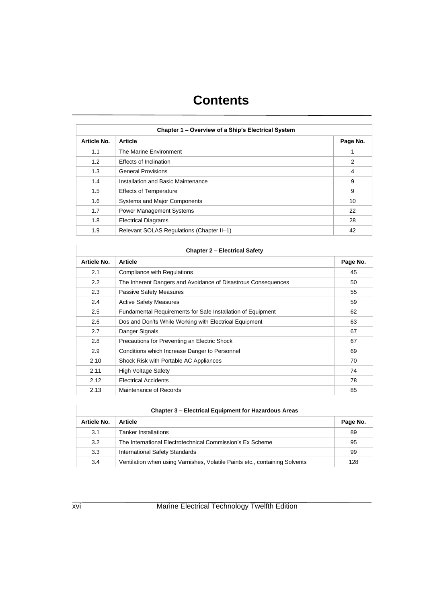| Chapter 1 - Overview of a Ship's Electrical System |                                           |          |
|----------------------------------------------------|-------------------------------------------|----------|
| <b>Article No.</b>                                 | <b>Article</b>                            | Page No. |
| 1.1                                                | The Marine Environment                    | 1        |
| 1.2                                                | Effects of Inclination                    | 2        |
| 1.3                                                | <b>General Provisions</b>                 | 4        |
| 1.4                                                | Installation and Basic Maintenance        | 9        |
| 1.5                                                | <b>Effects of Temperature</b>             | 9        |
| 1.6                                                | Systems and Major Components              | 10       |
| 1.7                                                | <b>Power Management Systems</b>           | 22       |
| 1.8                                                | <b>Electrical Diagrams</b>                | 28       |
| 1.9                                                | Relevant SOLAS Regulations (Chapter II-1) | 42       |

| <b>Chapter 2 - Electrical Safety</b> |                                                               |          |
|--------------------------------------|---------------------------------------------------------------|----------|
| Article No.                          | <b>Article</b>                                                | Page No. |
| 2.1                                  | Compliance with Regulations                                   | 45       |
| $2.2\phantom{0}$                     | The Inherent Dangers and Avoidance of Disastrous Consequences | 50       |
| 2.3                                  | <b>Passive Safety Measures</b>                                | 55       |
| 2.4                                  | <b>Active Safety Measures</b>                                 | 59       |
| 2.5                                  | Fundamental Requirements for Safe Installation of Equipment   | 62       |
| 2.6                                  | Dos and Don'ts While Working with Electrical Equipment        | 63       |
| 2.7                                  | Danger Signals                                                | 67       |
| 2.8                                  | Precautions for Preventing an Electric Shock                  | 67       |
| 2.9                                  | Conditions which Increase Danger to Personnel                 | 69       |
| 2.10                                 | Shock Risk with Portable AC Appliances                        | 70       |
| 2.11                                 | <b>High Voltage Safety</b>                                    | 74       |
| 2.12                                 | <b>Electrical Accidents</b>                                   | 78       |
| 2.13                                 | Maintenance of Records                                        | 85       |

| <b>Chapter 3 – Electrical Equipment for Hazardous Areas</b> |                                                                             |          |
|-------------------------------------------------------------|-----------------------------------------------------------------------------|----------|
| Article No.                                                 | <b>Article</b>                                                              | Page No. |
| 3.1                                                         | <b>Tanker Installations</b>                                                 | 89       |
| 3.2                                                         | The International Electrotechnical Commission's Ex Scheme                   | 95       |
| 3.3                                                         | <b>International Safety Standards</b>                                       | 99       |
| 3.4                                                         | Ventilation when using Varnishes, Volatile Paints etc., containing Solvents | 128      |

xvi Marine Electrical Technology Twelfth Edition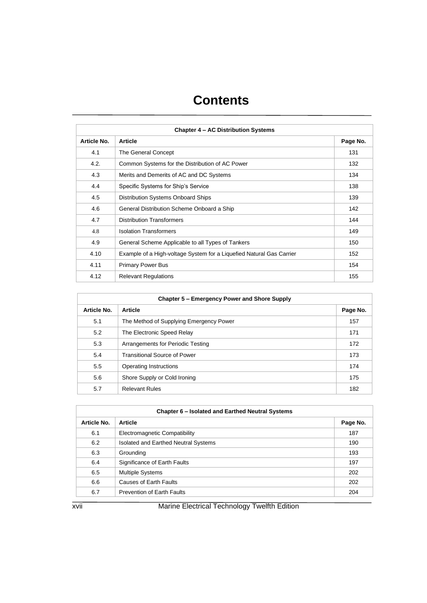| Chapter 4 – AC Distribution Systems |                                                                      |          |
|-------------------------------------|----------------------------------------------------------------------|----------|
| Article No.                         | <b>Article</b>                                                       | Page No. |
| 4.1                                 | The General Concept                                                  | 131      |
| 4.2.                                | Common Systems for the Distribution of AC Power                      | 132      |
| 4.3                                 | Merits and Demerits of AC and DC Systems                             | 134      |
| 4.4                                 | Specific Systems for Ship's Service                                  | 138      |
| 4.5                                 | Distribution Systems Onboard Ships                                   | 139      |
| 4.6                                 | General Distribution Scheme Onboard a Ship                           | 142      |
| 4.7                                 | <b>Distribution Transformers</b>                                     | 144      |
| 4.8                                 | <b>Isolation Transformers</b>                                        | 149      |
| 4.9                                 | General Scheme Applicable to all Types of Tankers                    | 150      |
| 4.10                                | Example of a High-voltage System for a Liquefied Natural Gas Carrier | 152      |
| 4.11                                | <b>Primary Power Bus</b>                                             | 154      |
| 4.12                                | <b>Relevant Regulations</b>                                          | 155      |

| Chapter 5 – Emergency Power and Shore Supply |                                         |          |
|----------------------------------------------|-----------------------------------------|----------|
| Article No.                                  | <b>Article</b>                          | Page No. |
| 5.1                                          | The Method of Supplying Emergency Power | 157      |
| 5.2                                          | The Electronic Speed Relay              | 171      |
| 5.3                                          | Arrangements for Periodic Testing       | 172      |
| 5.4                                          | <b>Transitional Source of Power</b>     | 173      |
| 5.5                                          | Operating Instructions                  | 174      |
| 5.6                                          | Shore Supply or Cold Ironing            | 175      |
| 5.7                                          | <b>Relevant Rules</b>                   | 182      |

| Chapter 6 – Isolated and Earthed Neutral Systems |                                      |          |
|--------------------------------------------------|--------------------------------------|----------|
| Article No.                                      | <b>Article</b>                       | Page No. |
| 6.1                                              | Electromagnetic Compatibility        | 187      |
| 6.2                                              | Isolated and Earthed Neutral Systems | 190      |
| 6.3                                              | Grounding                            | 193      |
| 6.4                                              | Significance of Earth Faults         | 197      |
| 6.5                                              | <b>Multiple Systems</b>              | 202      |
| 6.6                                              | Causes of Earth Faults               | 202      |
| 6.7                                              | <b>Prevention of Earth Faults</b>    | 204      |

xvii Marine Electrical Technology Twelfth Edition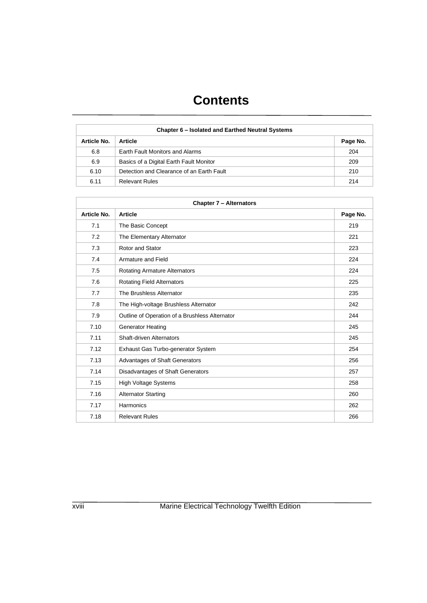| Chapter 6 – Isolated and Earthed Neutral Systems |                                           |          |
|--------------------------------------------------|-------------------------------------------|----------|
| <b>Article No.</b>                               | <b>Article</b>                            | Page No. |
| 6.8                                              | Earth Fault Monitors and Alarms           | 204      |
| 6.9                                              | Basics of a Digital Earth Fault Monitor   | 209      |
| 6.10                                             | Detection and Clearance of an Earth Fault | 210      |
| 6.11                                             | <b>Relevant Rules</b>                     | 214      |

| <b>Chapter 7 - Alternators</b> |                                                |          |
|--------------------------------|------------------------------------------------|----------|
| <b>Article No.</b>             | <b>Article</b>                                 | Page No. |
| 7.1                            | The Basic Concept                              | 219      |
| 7.2                            | The Elementary Alternator                      | 221      |
| 7.3                            | Rotor and Stator                               | 223      |
| 7.4                            | Armature and Field                             | 224      |
| 7.5                            | <b>Rotating Armature Alternators</b>           | 224      |
| 7.6                            | <b>Rotating Field Alternators</b>              | 225      |
| 7.7                            | The Brushless Alternator                       | 235      |
| 7.8                            | The High-voltage Brushless Alternator          | 242      |
| 7.9                            | Outline of Operation of a Brushless Alternator | 244      |
| 7.10                           | <b>Generator Heating</b>                       | 245      |
| 7.11                           | Shaft-driven Alternators                       | 245      |
| 7.12                           | Exhaust Gas Turbo-generator System             | 254      |
| 7.13                           | Advantages of Shaft Generators                 | 256      |
| 7.14                           | Disadvantages of Shaft Generators              | 257      |
| 7.15                           | <b>High Voltage Systems</b>                    | 258      |
| 7.16                           | <b>Alternator Starting</b>                     | 260      |
| 7.17                           | Harmonics                                      | 262      |
| 7.18                           | <b>Relevant Rules</b>                          | 266      |

xviii Marine Electrical Technology Twelfth Edition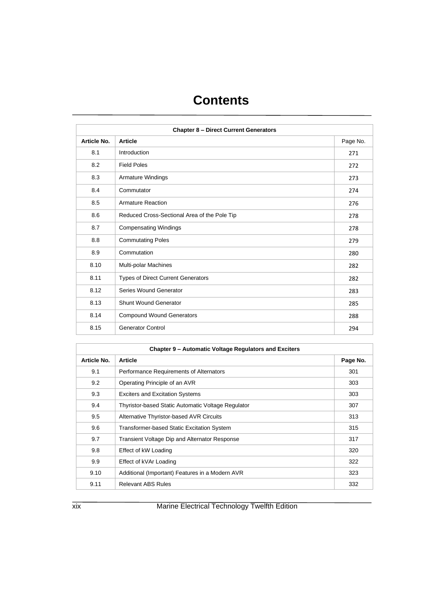| <b>Chapter 8 - Direct Current Generators</b> |                                              |          |
|----------------------------------------------|----------------------------------------------|----------|
| <b>Article No.</b>                           | <b>Article</b>                               | Page No. |
| 8.1                                          | Introduction                                 | 271      |
| 8.2                                          | <b>Field Poles</b>                           | 272      |
| 8.3                                          | Armature Windings                            | 273      |
| 8.4                                          | Commutator                                   | 274      |
| 8.5                                          | <b>Armature Reaction</b>                     | 276      |
| 8.6                                          | Reduced Cross-Sectional Area of the Pole Tip | 278      |
| 8.7                                          | <b>Compensating Windings</b>                 | 278      |
| 8.8                                          | <b>Commutating Poles</b>                     | 279      |
| 8.9                                          | Commutation                                  | 280      |
| 8.10                                         | Multi-polar Machines                         | 282      |
| 8.11                                         | <b>Types of Direct Current Generators</b>    | 282      |
| 8.12                                         | Series Wound Generator                       | 283      |
| 8.13                                         | <b>Shunt Wound Generator</b>                 | 285      |
| 8.14                                         | <b>Compound Wound Generators</b>             | 288      |
| 8.15                                         | <b>Generator Control</b>                     | 294      |

| Chapter 9 - Automatic Voltage Regulators and Exciters |                                                    |          |
|-------------------------------------------------------|----------------------------------------------------|----------|
| Article No.                                           | <b>Article</b>                                     | Page No. |
| 9.1                                                   | Performance Requirements of Alternators            | 301      |
| 9.2                                                   | Operating Principle of an AVR                      | 303      |
| 9.3                                                   | <b>Exciters and Excitation Systems</b>             | 303      |
| 9.4                                                   | Thyristor-based Static Automatic Voltage Regulator | 307      |
| 9.5                                                   | Alternative Thyristor-based AVR Circuits           | 313      |
| 9.6                                                   | <b>Transformer-based Static Excitation System</b>  | 315      |
| 9.7                                                   | Transient Voltage Dip and Alternator Response      | 317      |
| 9.8                                                   | Effect of kW Loading                               | 320      |
| 9.9                                                   | Effect of kVAr Loading                             | 322      |
| 9.10                                                  | Additional (Important) Features in a Modern AVR    | 323      |
| 9.11                                                  | <b>Relevant ABS Rules</b>                          | 332      |

xix Marine Electrical Technology Twelfth Edition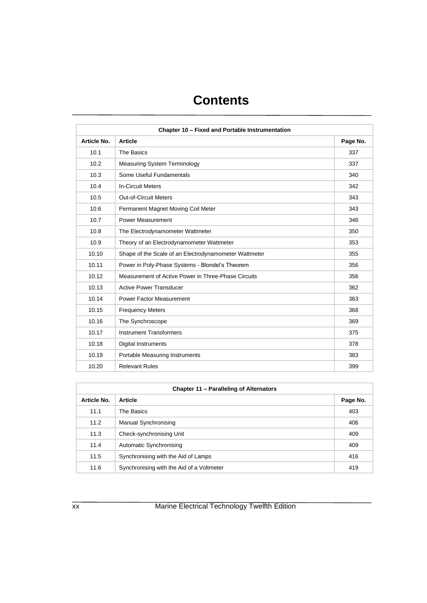| Chapter 10 - Fixed and Portable Instrumentation |                                                       |          |
|-------------------------------------------------|-------------------------------------------------------|----------|
| <b>Article No.</b>                              | <b>Article</b>                                        | Page No. |
| 10.1                                            | The Basics                                            | 337      |
| 10.2                                            | <b>Measuring System Terminology</b>                   | 337      |
| 10.3                                            | Some Useful Fundamentals                              | 340      |
| 10.4                                            | <b>In-Circuit Meters</b>                              | 342      |
| 10.5                                            | <b>Out-of-Circuit Meters</b>                          | 343      |
| 10.6                                            | Permanent Magnet Moving Coil Meter                    | 343      |
| 10.7                                            | Power Measurement                                     | 346      |
| 10.8                                            | The Electrodynamometer Wattmeter                      | 350      |
| 10.9                                            | Theory of an Electrodynamometer Wattmeter             | 353      |
| 10.10                                           | Shape of the Scale of an Electrodynamometer Wattmeter | 355      |
| 10.11                                           | Power in Poly-Phase Systems - Blondel's Theorem       | 356      |
| 10.12                                           | Measurement of Active Power in Three-Phase Circuits   | 356      |
| 10.13                                           | <b>Active Power Transducer</b>                        | 362      |
| 10.14                                           | Power Factor Measurement                              | 363      |
| 10.15                                           | <b>Frequency Meters</b>                               | 368      |
| 10.16                                           | The Synchroscope                                      | 369      |
| 10.17                                           | <b>Instrument Transformers</b>                        | 375      |
| 10.18                                           | <b>Digital Instruments</b>                            | 378      |
| 10.19                                           | Portable Measuring Instruments                        | 383      |
| 10.20                                           | <b>Relevant Rules</b>                                 | 399      |

| Chapter 11 - Paralleling of Alternators |                                           |          |  |
|-----------------------------------------|-------------------------------------------|----------|--|
| <b>Article No.</b>                      | <b>Article</b>                            | Page No. |  |
| 11.1                                    | The Basics                                | 403      |  |
| 11.2                                    | Manual Synchronising                      | 406      |  |
| 11.3                                    | Check-synchronising Unit                  | 409      |  |
| 11.4                                    | Automatic Synchronising                   | 409      |  |
| 11.5                                    | Synchronising with the Aid of Lamps       | 416      |  |
| 11.6                                    | Synchronising with the Aid of a Voltmeter | 419      |  |

xx Marine Electrical Technology Twelfth Edition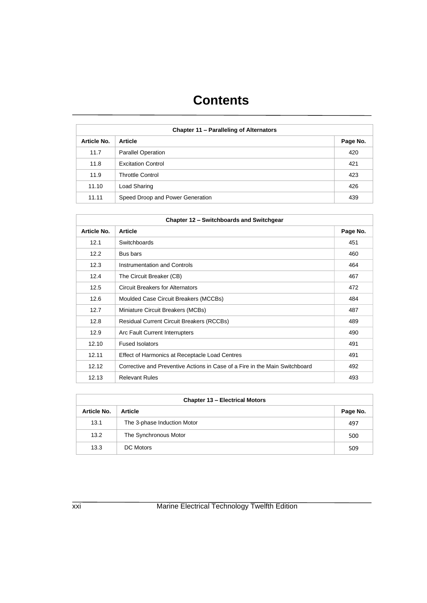| Chapter 11 - Paralleling of Alternators |                                  |          |
|-----------------------------------------|----------------------------------|----------|
| Article No.                             | <b>Article</b>                   | Page No. |
| 11.7                                    | <b>Parallel Operation</b>        | 420      |
| 11.8                                    | <b>Excitation Control</b>        | 421      |
| 11.9                                    | <b>Throttle Control</b>          | 423      |
| 11.10                                   | Load Sharing                     | 426      |
| 11.11                                   | Speed Droop and Power Generation | 439      |

| Chapter 12 - Switchboards and Switchgear |                                                                             |          |
|------------------------------------------|-----------------------------------------------------------------------------|----------|
| Article No.                              | <b>Article</b>                                                              | Page No. |
| 12.1                                     | Switchboards                                                                | 451      |
| 12.2                                     | Bus bars                                                                    | 460      |
| 12.3                                     | Instrumentation and Controls                                                | 464      |
| 12.4                                     | The Circuit Breaker (CB)                                                    | 467      |
| 12.5                                     | <b>Circuit Breakers for Alternators</b>                                     | 472      |
| 12.6                                     | Moulded Case Circuit Breakers (MCCBs)                                       | 484      |
| 12.7                                     | Miniature Circuit Breakers (MCBs)                                           | 487      |
| 12.8                                     | <b>Residual Current Circuit Breakers (RCCBs)</b>                            | 489      |
| 12.9                                     | Arc Fault Current Interrupters                                              | 490      |
| 12.10                                    | <b>Fused Isolators</b>                                                      | 491      |
| 12.11                                    | Effect of Harmonics at Receptacle Load Centres                              | 491      |
| 12.12                                    | Corrective and Preventive Actions in Case of a Fire in the Main Switchboard | 492      |
| 12.13                                    | <b>Relevant Rules</b>                                                       | 493      |

| <b>Chapter 13 - Electrical Motors</b> |                             |          |  |
|---------------------------------------|-----------------------------|----------|--|
| <b>Article No.</b>                    | <b>Article</b>              | Page No. |  |
| 13.1                                  | The 3-phase Induction Motor | 497      |  |
| 13.2                                  | The Synchronous Motor       | 500      |  |
| 13.3                                  | <b>DC</b> Motors            | 509      |  |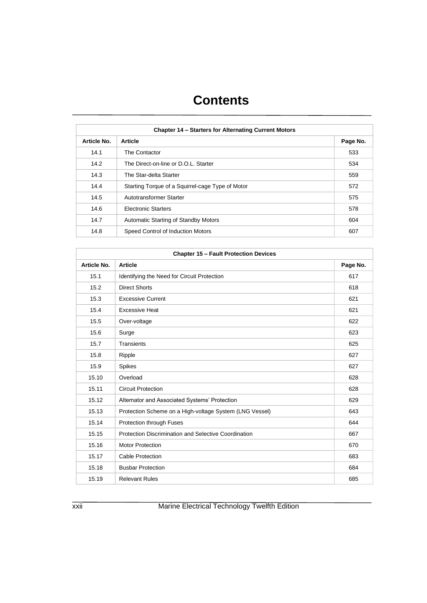| <b>Chapter 14 - Starters for Alternating Current Motors</b> |                                                  |          |
|-------------------------------------------------------------|--------------------------------------------------|----------|
| Article No.                                                 | <b>Article</b>                                   | Page No. |
| 14.1                                                        | The Contactor                                    | 533      |
| 14.2                                                        | The Direct-on-line or D.O.L. Starter             | 534      |
| 14.3                                                        | The Star-delta Starter                           | 559      |
| 14.4                                                        | Starting Torque of a Squirrel-cage Type of Motor | 572      |
| 14.5                                                        | Autotransformer Starter                          | 575      |
| 14.6                                                        | <b>Electronic Starters</b>                       | 578      |
| 14.7                                                        | Automatic Starting of Standby Motors             | 604      |
| 14.8                                                        | Speed Control of Induction Motors                | 607      |

| <b>Chapter 15 - Fault Protection Devices</b> |                                                         |          |
|----------------------------------------------|---------------------------------------------------------|----------|
| <b>Article No.</b>                           | <b>Article</b>                                          | Page No. |
| 15.1                                         | Identifying the Need for Circuit Protection             | 617      |
| 15.2                                         | <b>Direct Shorts</b>                                    | 618      |
| 15.3                                         | <b>Excessive Current</b>                                | 621      |
| 15.4                                         | <b>Excessive Heat</b>                                   | 621      |
| 15.5                                         | Over-voltage                                            | 622      |
| 15.6                                         | Surge                                                   | 623      |
| 15.7                                         | Transients                                              | 625      |
| 15.8                                         | Ripple                                                  | 627      |
| 15.9                                         | <b>Spikes</b>                                           | 627      |
| 15.10                                        | Overload                                                | 628      |
| 15.11                                        | <b>Circuit Protection</b>                               | 628      |
| 15.12                                        | Alternator and Associated Systems' Protection           | 629      |
| 15.13                                        | Protection Scheme on a High-voltage System (LNG Vessel) | 643      |
| 15.14                                        | Protection through Fuses                                | 644      |
| 15.15                                        | Protection Discrimination and Selective Coordination    | 667      |
| 15.16                                        | <b>Motor Protection</b>                                 | 670      |
| 15.17                                        | <b>Cable Protection</b>                                 | 683      |
| 15.18                                        | <b>Busbar Protection</b>                                | 684      |
| 15.19                                        | <b>Relevant Rules</b>                                   | 685      |

xxii Marine Electrical Technology Twelfth Edition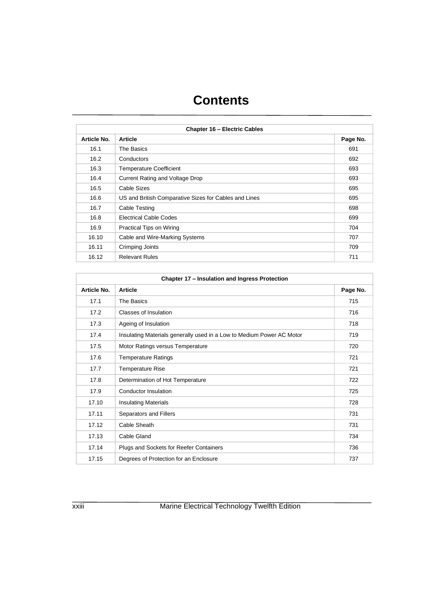| <b>Chapter 16 - Electric Cables</b> |                                                       |          |
|-------------------------------------|-------------------------------------------------------|----------|
| Article No.                         | <b>Article</b>                                        | Page No. |
| 16.1                                | The Basics                                            | 691      |
| 16.2                                | Conductors                                            | 692      |
| 16.3                                | <b>Temperature Coefficient</b>                        | 693      |
| 16.4                                | Current Rating and Voltage Drop                       | 693      |
| 16.5                                | <b>Cable Sizes</b>                                    | 695      |
| 16.6                                | US and British Comparative Sizes for Cables and Lines | 695      |
| 16.7                                | Cable Testing                                         | 698      |
| 16.8                                | Electrical Cable Codes                                | 699      |
| 16.9                                | Practical Tips on Wiring                              | 704      |
| 16.10                               | Cable and Wire-Marking Systems                        | 707      |
| 16.11                               | Crimping Joints                                       | 709      |
| 16.12                               | <b>Relevant Rules</b>                                 | 711      |

| Chapter 17 - Insulation and Ingress Protection |                                                                       |          |
|------------------------------------------------|-----------------------------------------------------------------------|----------|
| Article No.                                    | <b>Article</b>                                                        | Page No. |
| 17.1                                           | The Basics                                                            | 715      |
| 17.2                                           | Classes of Insulation                                                 | 716      |
| 17.3                                           | Ageing of Insulation                                                  | 718      |
| 17.4                                           | Insulating Materials generally used in a Low to Medium Power AC Motor | 719      |
| 17.5                                           | Motor Ratings versus Temperature                                      | 720      |
| 17.6                                           | <b>Temperature Ratings</b>                                            | 721      |
| 17.7                                           | <b>Temperature Rise</b>                                               | 721      |
| 17.8                                           | Determination of Hot Temperature                                      | 722      |
| 17.9                                           | Conductor Insulation                                                  | 725      |
| 17.10                                          | <b>Insulating Materials</b>                                           | 728      |
| 17.11                                          | Separators and Fillers                                                | 731      |
| 17.12                                          | Cable Sheath                                                          | 731      |
| 17.13                                          | Cable Gland                                                           | 734      |
| 17.14                                          | Plugs and Sockets for Reefer Containers                               | 736      |
| 17.15                                          | Degrees of Protection for an Enclosure                                | 737      |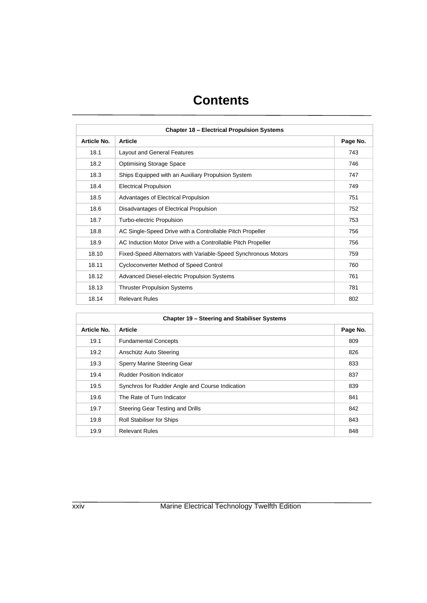| <b>Chapter 18 - Electrical Propulsion Systems</b> |                                                                |          |
|---------------------------------------------------|----------------------------------------------------------------|----------|
| Article No.                                       | <b>Article</b>                                                 | Page No. |
| 18.1                                              | <b>Layout and General Features</b>                             | 743      |
| 18.2                                              | <b>Optimising Storage Space</b>                                | 746      |
| 18.3                                              | Ships Equipped with an Auxiliary Propulsion System             | 747      |
| 18.4                                              | <b>Electrical Propulsion</b>                                   | 749      |
| 18.5                                              | Advantages of Electrical Propulsion                            | 751      |
| 18.6                                              | Disadvantages of Electrical Propulsion                         | 752      |
| 18.7                                              | Turbo-electric Propulsion                                      | 753      |
| 18.8                                              | AC Single-Speed Drive with a Controllable Pitch Propeller      | 756      |
| 18.9                                              | AC Induction Motor Drive with a Controllable Pitch Propeller   | 756      |
| 18.10                                             | Fixed-Speed Alternators with Variable-Speed Synchronous Motors | 759      |
| 18.11                                             | <b>Cycloconverter Method of Speed Control</b>                  | 760      |
| 18.12                                             | Advanced Diesel-electric Propulsion Systems                    | 761      |
| 18.13                                             | <b>Thruster Propulsion Systems</b>                             | 781      |
| 18.14                                             | <b>Relevant Rules</b>                                          | 802      |

| Chapter 19 - Steering and Stabiliser Systems |                                                 |          |
|----------------------------------------------|-------------------------------------------------|----------|
| Article No.                                  | <b>Article</b>                                  | Page No. |
| 19.1                                         | <b>Fundamental Concepts</b>                     | 809      |
| 19.2                                         | Anschütz Auto Steering                          | 826      |
| 19.3                                         | Sperry Marine Steering Gear                     | 833      |
| 19.4                                         | <b>Rudder Position Indicator</b>                | 837      |
| 19.5                                         | Synchros for Rudder Angle and Course Indication | 839      |
| 19.6                                         | The Rate of Turn Indicator                      | 841      |
| 19.7                                         | Steering Gear Testing and Drills                | 842      |
| 19.8                                         | <b>Roll Stabiliser for Ships</b>                | 843      |
| 19.9                                         | <b>Relevant Rules</b>                           | 848      |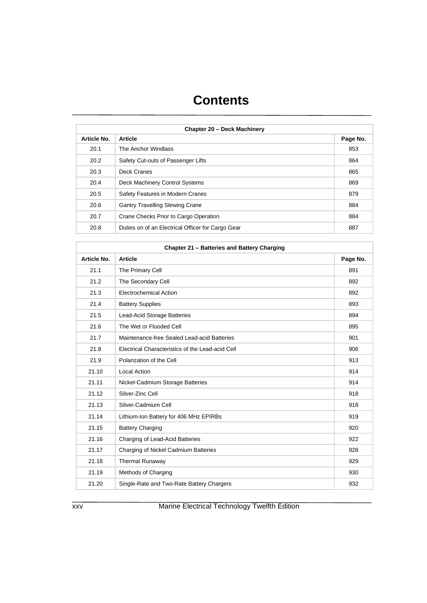| <b>Chapter 20 - Deck Machinery</b> |                                                   |          |
|------------------------------------|---------------------------------------------------|----------|
| Article No.                        | <b>Article</b>                                    | Page No. |
| 20.1                               | The Anchor Windlass                               | 853      |
| 20.2                               | Safety Cut-outs of Passenger Lifts                | 864      |
| 20.3                               | Deck Cranes                                       | 865      |
| 20.4                               | Deck Machinery Control Systems                    | 869      |
| 20.5                               | Safety Features in Modern Cranes                  | 879      |
| 20.6                               | <b>Gantry Travelling Slewing Crane</b>            | 884      |
| 20.7                               | Crane Checks Prior to Cargo Operation             | 884      |
| 20.8                               | Duties on of an Electrical Officer for Cargo Gear | 887      |

| Chapter 21 - Batteries and Battery Charging |                                                  |          |
|---------------------------------------------|--------------------------------------------------|----------|
| Article No.                                 | <b>Article</b>                                   | Page No. |
| 21.1                                        | The Primary Cell                                 | 891      |
| 21.2                                        | The Secondary Cell                               | 892      |
| 21.3                                        | Electrochemical Action                           | 892      |
| 21.4                                        | <b>Battery Supplies</b>                          | 893      |
| 21.5                                        | Lead-Acid Storage Batteries                      | 894      |
| 21.6                                        | The Wet or Flooded Cell                          | 895      |
| 21.7                                        | Maintenance-free Sealed Lead-acid Batteries      | 901      |
| 21.8                                        | Electrical Characteristics of the Lead-acid Cell | 906      |
| 21.9                                        | Polarization of the Cell                         | 913      |
| 21.10                                       | <b>Local Action</b>                              | 914      |
| 21.11                                       | Nickel-Cadmium Storage Batteries                 | 914      |
| 21.12                                       | Silver-Zinc Cell                                 | 918      |
| 21.13                                       | Silver-Cadmium Cell                              | 918      |
| 21.14                                       | Lithium-Ion Battery for 406 MHz EPIRBs           | 919      |
| 21.15                                       | <b>Battery Charging</b>                          | 920      |
| 21.16                                       | Charging of Lead-Acid Batteries                  | 922      |
| 21.17                                       | Charging of Nickel Cadmium Batteries             | 928      |
| 21.18                                       | Thermal Runaway                                  | 929      |
| 21.19                                       | Methods of Charging                              | 930      |
| 21.20                                       | Single-Rate and Two-Rate Battery Chargers        | 932      |

xxv Marine Electrical Technology Twelfth Edition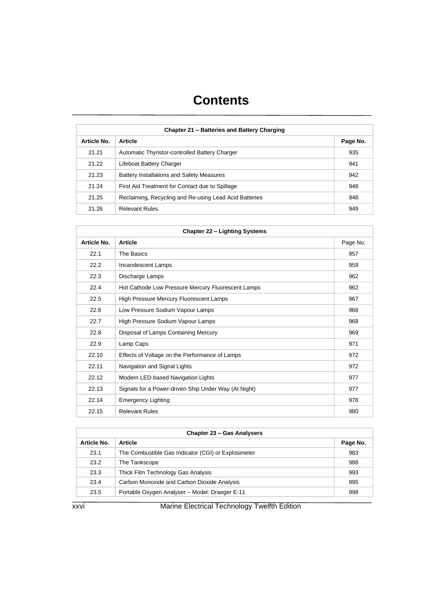| Chapter 21 – Batteries and Battery Charging |                                                        |          |
|---------------------------------------------|--------------------------------------------------------|----------|
| <b>Article No.</b>                          | <b>Article</b>                                         | Page No. |
| 21.21                                       | Automatic Thyristor-controlled Battery Charger         | 935      |
| 21.22                                       | Lifeboat Battery Charger                               | 941      |
| 21.23                                       | Battery Installations and Safety Measures              | 942      |
| 21.24                                       | First Aid Treatment for Contact due to Spillage        | 948      |
| 21.25                                       | Reclaiming, Recycling and Re-using Lead Acid Batteries | 948      |
| 21.26                                       | <b>Relevant Rules</b>                                  | 949      |

| <b>Chapter 22 - Lighting Systems</b> |                                                      |          |
|--------------------------------------|------------------------------------------------------|----------|
| Article No.                          | <b>Article</b>                                       | Page No. |
| 22.1                                 | The Basics                                           | 957      |
| 22.2                                 | Incandescent Lamps                                   | 959      |
| 22.3                                 | Discharge Lamps                                      | 962      |
| 22.4                                 | Hot Cathode Low Pressure Mercury Fluorescent Lamps   | 962      |
| 22.5                                 | High Pressure Mercury Fluorescent Lamps              | 967      |
| 22.6                                 | Low Pressure Sodium Vapour Lamps                     | 968      |
| 22.7                                 | High Pressure Sodium Vapour Lamps                    | 968      |
| 22.8                                 | Disposal of Lamps Containing Mercury                 | 969      |
| 22.9                                 | Lamp Caps                                            | 971      |
| 22.10                                | Effects of Voltage on the Performance of Lamps       | 972      |
| 22.11                                | Navigation and Signal Lights                         | 972      |
| 22.12                                | Modern LED-based Navigation Lights                   | 977      |
| 22.13                                | Signals for a Power-driven Ship Under Way (At Night) | 977      |
| 22.14                                | <b>Emergency Lighting</b>                            | 978      |
| 22.15                                | <b>Relevant Rules</b>                                | 980      |

| <b>Chapter 23 – Gas Analysers</b> |                                                     |          |
|-----------------------------------|-----------------------------------------------------|----------|
| Article No.                       | <b>Article</b>                                      | Page No. |
| 23.1                              | The Combustible Gas Indicator (CGI) or Explosimeter | 983      |
| 23.2                              | The Tankscope                                       | 988      |
| 23.3                              | Thick Film Technology Gas Analysis                  | 993      |
| 23.4                              | Carbon Monoxide and Carbon Dioxide Analysis         | 995      |
| 23.5                              | Portable Oxygen Analyser - Model: Draeger E-11      | 998      |

xxvi Marine Electrical Technology Twelfth Edition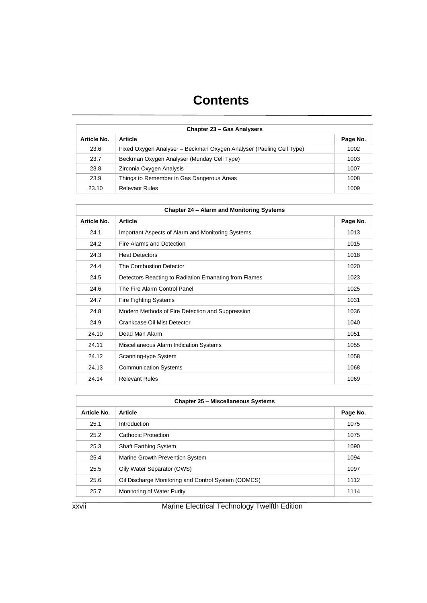| <b>Chapter 23 - Gas Analysers</b> |                                                                     |          |
|-----------------------------------|---------------------------------------------------------------------|----------|
| Article No.                       | <b>Article</b>                                                      | Page No. |
| 23.6                              | Fixed Oxygen Analyser - Beckman Oxygen Analyser (Pauling Cell Type) | 1002     |
| 23.7                              | Beckman Oxygen Analyser (Munday Cell Type)                          | 1003     |
| 23.8                              | Zirconia Oxygen Analysis                                            | 1007     |
| 23.9                              | Things to Remember in Gas Dangerous Areas                           | 1008     |
| 23.10                             | <b>Relevant Rules</b>                                               | 1009     |

| Chapter 24 - Alarm and Monitoring Systems |                                                       |          |
|-------------------------------------------|-------------------------------------------------------|----------|
| Article No.                               | <b>Article</b>                                        | Page No. |
| 24.1                                      | Important Aspects of Alarm and Monitoring Systems     | 1013     |
| 24.2                                      | Fire Alarms and Detection                             | 1015     |
| 24.3                                      | <b>Heat Detectors</b>                                 | 1018     |
| 24.4                                      | The Combustion Detector                               | 1020     |
| 24.5                                      | Detectors Reacting to Radiation Emanating from Flames | 1023     |
| 24.6                                      | The Fire Alarm Control Panel                          | 1025     |
| 24.7                                      | <b>Fire Fighting Systems</b>                          | 1031     |
| 24.8                                      | Modern Methods of Fire Detection and Suppression      | 1036     |
| 24.9                                      | Crankcase Oil Mist Detector                           | 1040     |
| 24.10                                     | Dead Man Alarm                                        | 1051     |
| 24.11                                     | Miscellaneous Alarm Indication Systems                | 1055     |
| 24.12                                     | Scanning-type System                                  | 1058     |
| 24.13                                     | <b>Communication Systems</b>                          | 1068     |
| 24.14                                     | <b>Relevant Rules</b>                                 | 1069     |

| <b>Chapter 25 - Miscellaneous Systems</b> |                                                     |          |
|-------------------------------------------|-----------------------------------------------------|----------|
| Article No.                               | <b>Article</b>                                      | Page No. |
| 25.1                                      | Introduction                                        | 1075     |
| 25.2                                      | Cathodic Protection                                 | 1075     |
| 25.3                                      | <b>Shaft Earthing System</b>                        | 1090     |
| 25.4                                      | Marine Growth Prevention System                     | 1094     |
| 25.5                                      | Oily Water Separator (OWS)                          | 1097     |
| 25.6                                      | Oil Discharge Monitoring and Control System (ODMCS) | 1112     |
| 25.7                                      | Monitoring of Water Purity                          | 1114     |

xxvii Marine Electrical Technology Twelfth Edition